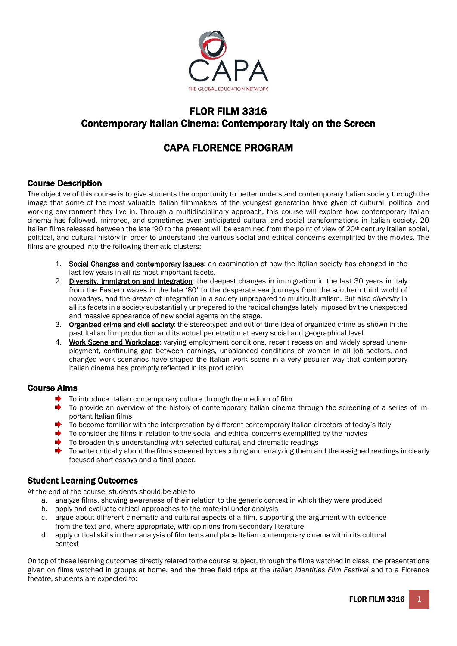

## FLOR FILM 3316 Contemporary Italian Cinema: Contemporary Italy on the Screen

# CAPA FLORENCE PROGRAM

## Course Description

The objective of this course is to give students the opportunity to better understand contemporary Italian society through the image that some of the most valuable Italian filmmakers of the youngest generation have given of cultural, political and working environment they live in. Through a multidisciplinary approach, this course will explore how contemporary Italian cinema has followed, mirrored, and sometimes even anticipated cultural and social transformations in Italian society. 20 Italian films released between the late '90 to the present will be examined from the point of view of 20<sup>th</sup> century Italian social, political, and cultural history in order to understand the various social and ethical concerns exemplified by the movies. The films are grouped into the following thematic clusters:

- 1. Social Changes and contemporary Issues: an examination of how the Italian society has changed in the last few years in all its most important facets.
- 2. Diversity, immigration and integration: the deepest changes in immigration in the last 30 years in Italy from the Eastern waves in the late '80' to the desperate sea journeys from the southern third world of nowadays, and the *dream* of integration in a society unprepared to multiculturalism. But also *diversity* in all its facets in a society substantially unprepared to the radical changes lately imposed by the unexpected and massive appearance of new social agents on the stage.
- 3. Organized crime and civil society: the stereotyped and out-of-time idea of organized crime as shown in the past Italian film production and its actual penetration at every social and geographical level.
- 4. Work Scene and Workplace: varying employment conditions, recent recession and widely spread unemployment, continuing gap between earnings, unbalanced conditions of women in all job sectors, and changed work scenarios have shaped the Italian work scene in a very peculiar way that contemporary Italian cinema has promptly reflected in its production.

## Course Aims

- To introduce Italian contemporary culture through the medium of film
- $\blacktriangleright$  To provide an overview of the history of contemporary Italian cinema through the screening of a series of important Italian films
- To become familiar with the interpretation by different contemporary Italian directors of today's Italy
- $\blacktriangleright$  To consider the films in relation to the social and ethical concerns exemplified by the movies
- To broaden this understanding with selected cultural, and cinematic readings
- $\Delta$  . To write critically about the films screened by describing and analyzing them and the assigned readings in clearly focused short essays and a final paper.

## Student Learning Outcomes

At the end of the course, students should be able to:

- a. analyze films, showing awareness of their relation to the generic context in which they were produced
- b. apply and evaluate critical approaches to the material under analysis
- c. argue about different cinematic and cultural aspects of a film, supporting the argument with evidence from the text and, where appropriate, with opinions from secondary literature
- d. apply critical skills in their analysis of film texts and place Italian contemporary cinema within its cultural context

On top of these learning outcomes directly related to the course subject, through the films watched in class, the presentations given on films watched in groups at home, and the three field trips at the *Italian Identities Film Festival* and to a Florence theatre, students are expected to: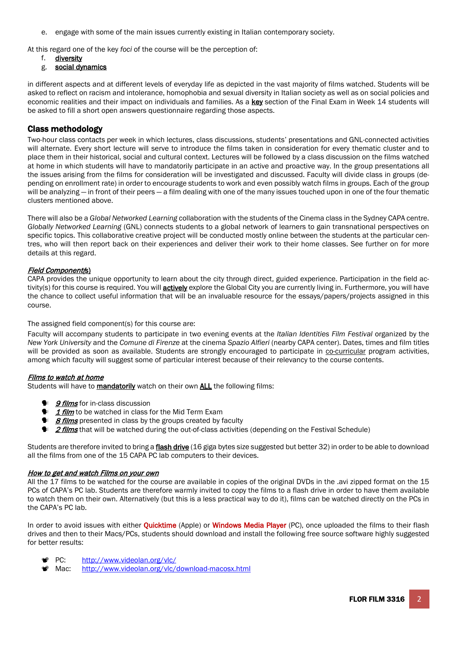e. engage with some of the main issues currently existing in Italian contemporary society.

At this regard one of the key *foci* of the course will be the perception of:

- f. diversity
- g. social dynamics

in different aspects and at different levels of everyday life as depicted in the vast majority of films watched. Students will be asked to reflect on racism and intolerance, homophobia and sexual diversity in Italian society as well as on social policies and economic realities and their impact on individuals and families. As a key section of the Final Exam in Week 14 students will be asked to fill a short open answers questionnaire regarding those aspects.

## Class methodology

Two-hour class contacts per week in which lectures, class discussions, students' presentations and GNL-connected activities will alternate. Every short lecture will serve to introduce the films taken in consideration for every thematic cluster and to place them in their historical, social and cultural context. Lectures will be followed by a class discussion on the films watched at home in which students will have to mandatorily participate in an active and proactive way. In the group presentations all the issues arising from the films for consideration will be investigated and discussed. Faculty will divide class in groups (depending on enrollment rate) in order to encourage students to work and even possibly watch films in groups. Each of the group will be analyzing — in front of their peers — a film dealing with one of the many issues touched upon in one of the four thematic clusters mentioned above.

There will also be a *Global Networked Learning* collaboration with the students of the Cinema class in the Sydney CAPA centre. *Globally Networked Learning* (GNL) connects students to a global network of learners to gain transnational perspectives on specific topics. This collaborative creative project will be conducted mostly online between the students at the particular centres, who will then report back on their experiences and deliver their work to their home classes. See further on for more details at this regard.

#### Field Component(s)

CAPA provides the unique opportunity to learn about the city through direct, guided experience. Participation in the field activity(s) for this course is required. You will **actively** explore the Global City you are currently living in. Furthermore, you will have the chance to collect useful information that will be an invaluable resource for the essays/papers/projects assigned in this course.

## The assigned field component(s) for this course are:

Faculty will accompany students to participate in two evening events at the *Italian Identities Film Festival* organized by the *New York University* and the *Comune di Firenze* at the cinema *Spazio Alfieri* (nearby CAPA center). Dates, times and film titles will be provided as soon as available. Students are strongly encouraged to participate in co-curricular program activities, among which faculty will suggest some of particular interest because of their relevancy to the course contents.

#### Films to watch at home

Students will have to **mandatorily** watch on their own **ALL** the following films:

- <sup>●</sup> 9 *films* for in-class discussion
- **1 film** to be watched in class for the Mid Term Exam
- <sup>8</sup> **8 films** presented in class by the groups created by faculty
- **1 2 films** that will be watched during the out-of-class activities (depending on the Festival Schedule)

Students are therefore invited to bring a flash drive (16 giga bytes size suggested but better 32) in order to be able to download all the films from one of the 15 CAPA PC lab computers to their devices.

#### How to get and watch Films on your own

All the 17 films to be watched for the course are available in copies of the original DVDs in the .avi zipped format on the 15 PCs of CAPA's PC lab. Students are therefore warmly invited to copy the films to a flash drive in order to have them available to watch them on their own. Alternatively (but this is a less practical way to do it), films can be watched directly on the PCs in the CAPA's PC lab.

In order to avoid issues with either **Quicktime** (Apple) or **Windows Media Player** (PC), once uploaded the films to their flash drives and then to their Macs/PCs, students should download and install the following free source software highly suggested for better results:

- PC: <http://www.videolan.org/vlc/>
- Mac: <http://www.videolan.org/vlc/download-macosx.html>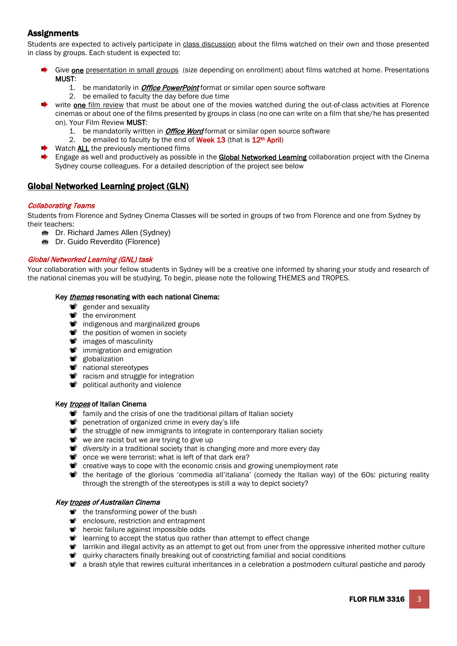## **Assignments**

Students are expected to actively participate in class discussion about the films watched on their own and those presented in class by groups. Each student is expected to:

- Give **one** presentation in small groups (size depending on enrollment) about films watched at home. Presentations MUST:
	- 1. be mandatorily in *Office PowerPoint* format or similar open source software
	- 2. be emailed to faculty the day before due time
- write **one** film review that must be about one of the movies watched during the out-of-class activities at Florence cinemas or about one of the films presented by groups in class (no one can write on a film that she/he has presented on). Your Film Review MUST:
	- 1. be mandatorily written in *Office Word* format or similar open source software
	- 2. be emailed to faculty by the end of Week 13 (that is 12<sup>th</sup> April)
- Watch **ALL** the previously mentioned films
- Engage as well and productively as possible in the Global Networked Learning collaboration project with the Cinema Sydney course colleagues. For a detailed description of the project see below

## Global Networked Learning project (GLN)

#### Collaborating Teams

Students from Florence and Sydney Cinema Classes will be sorted in groups of two from Florence and one from Sydney by their teachers:

- Dr. Richard James Allen (Sydney)
- Dr. Guido Reverdito (Florence)

## Global Networked Learning (GNL) task

Your collaboration with your fellow students in Sydney will be a creative one informed by sharing your study and research of the national cinemas you will be studying. To begin, please note the following THEMES and TROPES.

#### Key *themes* resonating with each national Cinema:

- gender and sexuality
- the environment
- $\bullet$  indigenous and marginalized groups
- the position of women in society
- $\bullet$  images of masculinity
- $\bullet$  immigration and emigration
- sign probalization
- $\bullet$  national stereotypes
- **<sup>8</sup>** racism and struggle for integration
- political authority and violence

#### Key tropes of Italian Cinema

- **family and the crisis of one the traditional pillars of Italian society**
- penetration of organized crime in every day's life
- the struggle of new immigrants to integrate in contemporary Italian society
- we are racist but we are trying to give up
- *diversity* in a traditional society that is changing more and more every day
- $\bullet$  once we were terrorist: what is left of that dark era?
- Creative ways to cope with the economic crisis and growing unemployment rate
- **\*\*** the heritage of the glorious 'commedia all'italiana' (comedy the Italian way) of the 60s: picturing reality through the strength of the stereotypes is still a way to depict society?

#### Key tropes of Australian Cinema

- the transforming power of the bush
- $\bullet$  enclosure, restriction and entrapment
- *P* heroic failure against impossible odds
- **P** learning to accept the status quo rather than attempt to effect change
- $\bullet$  larrikin and illegal activity as an attempt to get out from uner from the oppressive inherited mother culture
- $\bullet$  quirky characters finally breaking out of constricting familial and social conditions
- a brash style that rewires cultural inheritances in a celebration a postmodern cultural pastiche and parody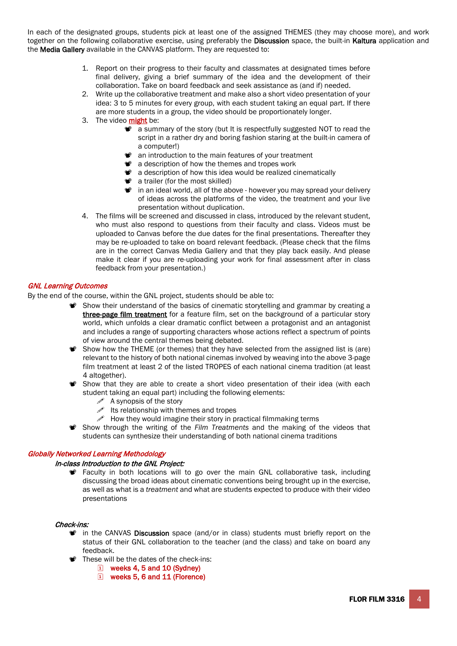In each of the designated groups, students pick at least one of the assigned THEMES (they may choose more), and work together on the following collaborative exercise, using preferably the Discussion space, the built-in Kaltura application and the Media Gallery available in the CANVAS platform. They are requested to:

- 1. Report on their progress to their faculty and classmates at designated times before final delivery, giving a brief summary of the idea and the development of their collaboration. Take on board feedback and seek assistance as (and if) needed.
- 2. Write up the collaborative treatment and make also a short video presentation of your idea: 3 to 5 minutes for every group, with each student taking an equal part. If there are more students in a group, the video should be proportionately longer.
- 3. The video might be:
	- **a** a summary of the story (but It is respectfully suggested NOT to read the script in a rather dry and boring fashion staring at the built-in camera of a computer!)
	- $\bullet$  an introduction to the main features of your treatment
	- **a** a description of how the themes and tropes work
	- **a** a description of how this idea would be realized cinematically
	- $\bullet$  a trailer (for the most skilled)
	- $\bullet$  in an ideal world, all of the above however you may spread your delivery of ideas across the platforms of the video, the treatment and your live presentation without duplication.
- 4. The films will be screened and discussed in class, introduced by the relevant student, who must also respond to questions from their faculty and class. Videos must be uploaded to Canvas before the due dates for the final presentations. Thereafter they may be re-uploaded to take on board relevant feedback. (Please check that the films are in the correct Canvas Media Gallery and that they play back easily. And please make it clear if you are re-uploading your work for final assessment after in class feedback from your presentation.)

#### GNL Learning Outcomes

By the end of the course, within the GNL project, students should be able to:

- Show their understand of the basics of cinematic storytelling and grammar by creating a three-page film treatment for a feature film, set on the background of a particular story world, which unfolds a clear dramatic conflict between a protagonist and an antagonist and includes a range of supporting characters whose actions reflect a spectrum of points of view around the central themes being debated.
- Show how the THEME (or themes) that they have selected from the assigned list is (are) relevant to the history of both national cinemas involved by weaving into the above 3-page film treatment at least 2 of the listed TROPES of each national cinema tradition (at least 4 altogether).
- Show that they are able to create a short video presentation of their idea (with each student taking an equal part) including the following elements:
	- $\mathscr S$  A synopsis of the story
	- $\mathscr{P}$  Its relationship with themes and tropes
	- $\mathscr S$  How they would imagine their story in practical filmmaking terms
- Show through the writing of the *Film Treatments* and the making of the videos that students can synthesize their understanding of both national cinema traditions

## Globally Networked Learning Methodology

#### In-class Introduction to the GNL Project:

**Faculty in both locations will to go over the main GNL collaborative task, including** discussing the broad ideas about cinematic conventions being brought up in the exercise, as well as what is a *treatment* and what are students expected to produce with their video presentations

#### Check-ins:

- $\bullet$  in the CANVAS Discussion space (and/or in class) students must briefly report on the status of their GNL collaboration to the teacher (and the class) and take on board any feedback.
- These will be the dates of the check-ins:
	- weeks 4, 5 and 10 (Sydney)
	- weeks 5, 6 and 11 (Florence)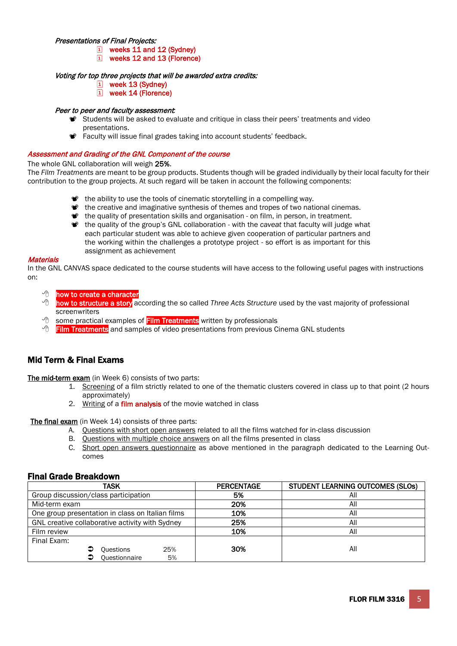#### Presentations of Final Projects:

- [1] weeks 11 and 12 (Svdney)
- weeks 12 and 13 (Florence)

#### Voting for top three projects that will be awarded extra credits:

- $|\tilde{i}|$  week 13 (Sydney)
- [1] week 14 (Florence)

## Peer to peer and faculty assessment*:*

- Students will be asked to evaluate and critique in class their peers' treatments and video presentations.
- **Faculty will issue final grades taking into account students' feedback.**

#### Assessment and Grading of the GNL Component of the course

The whole GNL collaboration will weigh 25%.

The *Film Treatments* are meant to be group products. Students though will be graded individually by their local faculty for their contribution to the group projects. At such regard will be taken in account the following components:

- the ability to use the tools of cinematic storytelling in a compelling way.
- the creative and imaginative synthesis of themes and tropes of two national cinemas.
- $\bullet$  the quality of presentation skills and organisation on film, in person, in treatment.
- the quality of the group's GNL collaboration with the *caveat* that faculty will judge what each particular student was able to achieve given cooperation of particular partners and the working within the challenges a prototype project - so effort is as important for this assignment as achievement

#### **Materials**

In the GNL CANVAS space dedicated to the course students will have access to the following useful pages with instructions on:

- **how to create a character**
- how to structure a story according the so called *Three Acts Structure* used by the vast majority of professional screenwriters
- $\sqrt{\theta}$  some practical examples of Film Treatments written by professionals
- $\sqrt{\sigma}$  Film Treatments and samples of video presentations from previous Cinema GNL students

## Mid Term & Final Exams

The mid-term exam (in Week 6) consists of two parts:

- 1. Screening of a film strictly related to one of the thematic clusters covered in class up to that point (2 hours approximately)
- 2. Writing of a film analysis of the movie watched in class

The final exam (in Week 14) consists of three parts:

- A. Questions with short open answers related to all the films watched for in-class discussion
- B. Questions with multiple choice answers on all the films presented in class
- C. Short open answers questionnaire as above mentioned in the paragraph dedicated to the Learning Outcomes

## Final Grade Breakdown

| <b>TASK</b>                                      | <b>PERCENTAGE</b> | <b>STUDENT LEARNING OUTCOMES (SLOS)</b> |
|--------------------------------------------------|-------------------|-----------------------------------------|
| Group discussion/class participation             | 5%                | All                                     |
| Mid-term exam                                    | 20%               | All                                     |
| One group presentation in class on Italian films | 10%               | All                                     |
| GNL creative collaborative activity with Sydney  | 25%               | All                                     |
| Film review                                      | 10%               | All                                     |
| Final Exam:                                      |                   |                                         |
| 25%<br>⊃<br><b>Questions</b>                     | 30%               | All                                     |
| Questionnaire<br>5%                              |                   |                                         |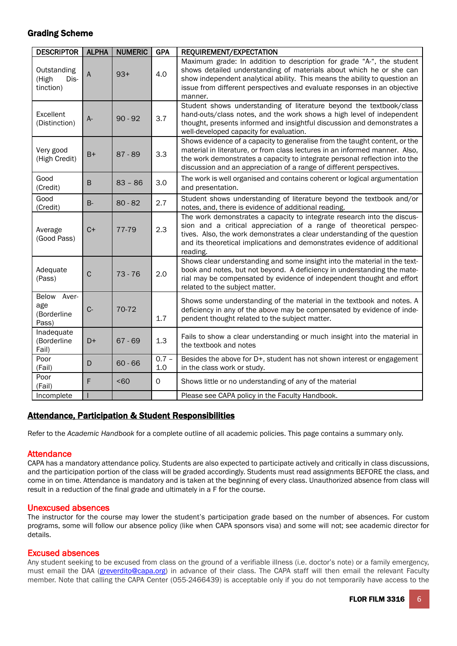## Grading Scheme

| <b>DESCRIPTOR   ALPHA</b>                     |              | <b>NUMERIC</b> | <b>GPA</b>     | REQUIREMENT/EXPECTATION                                                                                                                                                                                                                                                                                            |
|-----------------------------------------------|--------------|----------------|----------------|--------------------------------------------------------------------------------------------------------------------------------------------------------------------------------------------------------------------------------------------------------------------------------------------------------------------|
| Outstanding<br>(High<br>Dis-<br>tinction)     | A            | $93+$          | 4.0            | Maximum grade: In addition to description for grade "A-", the student<br>shows detailed understanding of materials about which he or she can<br>show independent analytical ability. This means the ability to question an<br>issue from different perspectives and evaluate responses in an objective<br>manner.  |
| Excellent<br>(Distinction)                    | $A-$         | $90 - 92$      | 3.7            | Student shows understanding of literature beyond the textbook/class<br>hand-outs/class notes, and the work shows a high level of independent<br>thought, presents informed and insightful discussion and demonstrates a<br>well-developed capacity for evaluation.                                                 |
| Very good<br>(High Credit)                    | $B+$         | $87 - 89$      | 3.3            | Shows evidence of a capacity to generalise from the taught content, or the<br>material in literature, or from class lectures in an informed manner. Also,<br>the work demonstrates a capacity to integrate personal reflection into the<br>discussion and an appreciation of a range of different perspectives.    |
| Good<br>(Credit)                              | $\sf B$      | $83 - 86$      | 3.0            | The work is well organised and contains coherent or logical argumentation<br>and presentation.                                                                                                                                                                                                                     |
| Good<br>(Credit)                              | <b>B-</b>    | $80 - 82$      | 2.7            | Student shows understanding of literature beyond the textbook and/or<br>notes, and, there is evidence of additional reading.                                                                                                                                                                                       |
| Average<br>(Good Pass)                        | $C+$         | 77-79          | 2.3            | The work demonstrates a capacity to integrate research into the discus-<br>sion and a critical appreciation of a range of theoretical perspec-<br>tives. Also, the work demonstrates a clear understanding of the question<br>and its theoretical implications and demonstrates evidence of additional<br>reading. |
| Adequate<br>(Pass)                            | $\mathsf{C}$ | $73 - 76$      | 2.0            | Shows clear understanding and some insight into the material in the text-<br>book and notes, but not beyond. A deficiency in understanding the mate-<br>rial may be compensated by evidence of independent thought and effort<br>related to the subject matter.                                                    |
| Aver-<br>Below<br>age<br>(Borderline<br>Pass) | $C -$        | 70-72          | 1.7            | Shows some understanding of the material in the textbook and notes. A<br>deficiency in any of the above may be compensated by evidence of inde-<br>pendent thought related to the subject matter.                                                                                                                  |
| Inadequate<br>(Borderline<br>Fail)            | D+           | $67 - 69$      | 1.3            | Fails to show a clear understanding or much insight into the material in<br>the textbook and notes                                                                                                                                                                                                                 |
| Poor<br>(Fail)                                | D            | $60 - 66$      | $0.7 -$<br>1.0 | Besides the above for D+, student has not shown interest or engagement<br>in the class work or study.                                                                                                                                                                                                              |
| Poor<br>(Fail)                                | F            | <60            | $\Omega$       | Shows little or no understanding of any of the material                                                                                                                                                                                                                                                            |
| Incomplete                                    |              |                |                | Please see CAPA policy in the Faculty Handbook.                                                                                                                                                                                                                                                                    |

## Attendance, Participation & Student Responsibilities

Refer to the *Academic Handbook* for a complete outline of all academic policies. This page contains a summary only.

## **Attendance**

CAPA has a mandatory attendance policy. Students are also expected to participate actively and critically in class discussions, and the participation portion of the class will be graded accordingly. Students must read assignments BEFORE the class, and come in on time. Attendance is mandatory and is taken at the beginning of every class. Unauthorized absence from class will result in a reduction of the final grade and ultimately in a F for the course.

## Unexcused absences

The instructor for the course may lower the student's participation grade based on the number of absences. For custom programs, some will follow our absence policy (like when CAPA sponsors visa) and some will not; see academic director for details.

## Excused absences

Any student seeking to be excused from class on the ground of a verifiable illness (i.e. doctor's note) or a family emergency, must email the DAA [\(greverdito@capa.org\)](mailto:greverdito@capa.org) in advance of their class. The CAPA staff will then email the relevant Faculty member. Note that calling the CAPA Center (055-2466439) is acceptable only if you do not temporarily have access to the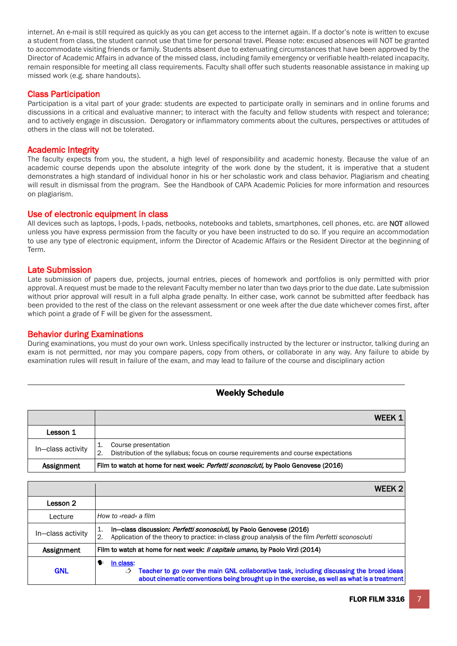internet. An e-mail is still required as quickly as you can get access to the internet again. If a doctor's note is written to excuse a student from class, the student cannot use that time for personal travel. Please note: excused absences will NOT be granted to accommodate visiting friends or family. Students absent due to extenuating circumstances that have been approved by the Director of Academic Affairs in advance of the missed class, including family emergency or verifiable health-related incapacity, remain responsible for meeting all class requirements. Faculty shall offer such students reasonable assistance in making up missed work (e.g. share handouts).

## Class Participation

Participation is a vital part of your grade: students are expected to participate orally in seminars and in online forums and discussions in a critical and evaluative manner; to interact with the faculty and fellow students with respect and tolerance; and to actively engage in discussion. Derogatory or inflammatory comments about the cultures, perspectives or attitudes of others in the class will not be tolerated.

## Academic Integrity

The faculty expects from you, the student, a high level of responsibility and academic honesty. Because the value of an academic course depends upon the absolute integrity of the work done by the student, it is imperative that a student demonstrates a high standard of individual honor in his or her scholastic work and class behavior. Plagiarism and cheating will result in dismissal from the program. See the Handbook of CAPA Academic Policies for more information and resources on plagiarism.

#### Use of electronic equipment in class

All devices such as laptops, I-pods, I-pads, netbooks, notebooks and tablets, smartphones, cell phones, etc. are NOT allowed unless you have express permission from the faculty or you have been instructed to do so. If you require an accommodation to use any type of electronic equipment, inform the Director of Academic Affairs or the Resident Director at the beginning of Term.

## Late Submission

Late submission of papers due, projects, journal entries, pieces of homework and portfolios is only permitted with prior approval. A request must be made to the relevant Faculty member no later than two days prior to the due date. Late submission without prior approval will result in a full alpha grade penalty. In either case, work cannot be submitted after feedback has been provided to the rest of the class on the relevant assessment or one week after the due date whichever comes first, after which point a grade of F will be given for the assessment.

## Behavior during Examinations

During examinations, you must do your own work. Unless specifically instructed by the lecturer or instructor, talking during an exam is not permitted, nor may you compare papers, copy from others, or collaborate in any way. Any failure to abide by examination rules will result in failure of the exam, and may lead to failure of the course and disciplinary action

## Weekly Schedule

|                   |                                                                                                                                     | WFFK 1 |
|-------------------|-------------------------------------------------------------------------------------------------------------------------------------|--------|
| Lesson 1          |                                                                                                                                     |        |
| In-class activity | Course presentation<br>1.<br>$\overline{2}$ .<br>Distribution of the syllabus; focus on course requirements and course expectations |        |
| Assignment        | Film to watch at home for next week: <i>Perfetti sconosciuti</i> , by Paolo Genovese (2016)                                         |        |
|                   |                                                                                                                                     |        |

|                   | WEEK <sub>2</sub>                                                                                                                                                                                          |
|-------------------|------------------------------------------------------------------------------------------------------------------------------------------------------------------------------------------------------------|
| Lesson 2          |                                                                                                                                                                                                            |
| Lecture           | How to «read« a film                                                                                                                                                                                       |
| In-class activity | In-class discussion: <i>Perfetti sconosciuti</i> , by Paolo Genovese (2016)<br>1.<br>Application of the theory to practice: in-class group analysis of the film Perfetti sconosciuti<br>$^{\circ}$ 2.      |
| Assignment        | Film to watch at home for next week: <i>Il capitale umano,</i> by Paolo Virzì (2014)                                                                                                                       |
| <b>GNL</b>        | In class:<br>Teacher to go over the main GNL collaborative task, including discussing the broad ideas<br>↺<br>about cinematic conventions being brought up in the exercise, as well as what is a treatment |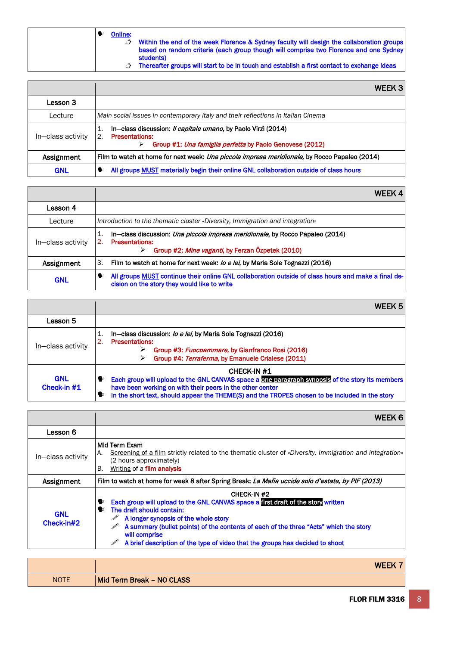|  | ш |
|--|---|
|  |   |

ne:<br>ク  $\circlearrowleft$  Within the end of the week Florence & Sydney faculty will design the collaboration groups based on random criteria (each group though will comprise two Florence and one Sydney students)

 $\circlearrowleft$  Thereafter groups will start to be in touch and establish a first contact to exchange ideas

|                   | WEEK 3                                                                                                                                                                                    |
|-------------------|-------------------------------------------------------------------------------------------------------------------------------------------------------------------------------------------|
| Lesson 3          |                                                                                                                                                                                           |
| Lecture           | Main social issues in contemporary Italy and their reflections in Italian Cinema                                                                                                          |
| In-class activity | In-class discussion: <i>Il capitale umano</i> , by Paolo Virzi (2014)<br>1.<br>$\overline{2}$ .<br><b>Presentations:</b><br>Group #1: Una famiglia perfetta by Paolo Genovese (2012)<br>⋗ |
| Assignment        | Film to watch at home for next week: <i>Una piccola impresa meridionale</i> , by Rocco Papaleo (2014)                                                                                     |
| <b>GNL</b>        | All groups <b>MUST</b> materially begin their online GNL collaboration outside of class hours                                                                                             |

|                   | WEEK 4                                                                                                                                                                              |
|-------------------|-------------------------------------------------------------------------------------------------------------------------------------------------------------------------------------|
| Lesson 4          |                                                                                                                                                                                     |
| Lecture           | Introduction to the thematic cluster «Diversity, Immigration and integration»                                                                                                       |
| In-class activity | In—class discussion: <i>Una piccola impresa meridionale</i> , by Rocco Papaleo (2014)<br>1.<br>2.<br><b>Presentations:</b><br>Group #2: Mine vaganti, by Ferzan Özpetek (2010)<br>➤ |
| Assignment        | 3.<br>Film to watch at home for next week: <i>lo e lei</i> , by Maria Sole Tognazzi (2016)                                                                                          |
| <b>GNL</b>        | All groups <b>MUST</b> continue their online GNL collaboration outside of class hours and make a final de-<br>❤<br>cision on the story they would like to write                     |

|                             | WEEK 5                                                                                                                                                                                                                                                                                          |
|-----------------------------|-------------------------------------------------------------------------------------------------------------------------------------------------------------------------------------------------------------------------------------------------------------------------------------------------|
| Lesson 5                    |                                                                                                                                                                                                                                                                                                 |
| In-class activity           | In-class discussion: <i>lo e lei</i> , by Maria Sole Tognazzi (2016)<br>1.<br>$\overline{2}$ .<br><b>Presentations:</b><br>Group #3: <i>Fuocoammare</i> , by Gianfranco Rosi (2016)<br>⋗<br>Group #4: Terraferma, by Emanuele Crialese (2011)<br>➤                                              |
| <b>GNL</b><br>Check-in $#1$ | <b>CHECK-IN#1</b><br>Each group will upload to the GNL CANVAS space a one paragraph synopsis of the story its members<br>❤<br>have been working on with their peers in the other center<br>In the short text, should appear the THEME(S) and the TROPES chosen to be included in the story<br>❤ |

|                          | WEEK 6                                                                                                                                                                                                                                                                                                                                                                                     |
|--------------------------|--------------------------------------------------------------------------------------------------------------------------------------------------------------------------------------------------------------------------------------------------------------------------------------------------------------------------------------------------------------------------------------------|
| Lesson 6                 |                                                                                                                                                                                                                                                                                                                                                                                            |
| In-class activity        | Mid Term Exam<br>«Screening of a film strictly related to the thematic cluster of «Diversity, Immigration and integration»<br>А.<br>(2 hours approximately)<br>Writing of a <b>film analysis</b><br>В.                                                                                                                                                                                     |
| Assignment               | Film to watch at home for week 8 after Spring Break: La Mafia uccide solo d'estate, by PIF (2013)                                                                                                                                                                                                                                                                                          |
| <b>GNL</b><br>Check-in#2 | <b>CHECK-IN #2</b><br>Each group will upload to the GNL CANVAS space a first draft of the story written<br>The draft should contain:<br>●<br>$\mathscr{P}$ A longer synopsis of the whole story<br>A summary (bullet points) of the contents of each of the three "Acts" which the story<br>will comprise<br>A brief description of the type of video that the groups has decided to shoot |

|             | <b>WEE</b>                |
|-------------|---------------------------|
| <b>NOTE</b> | Mid Term Break - NO CLASS |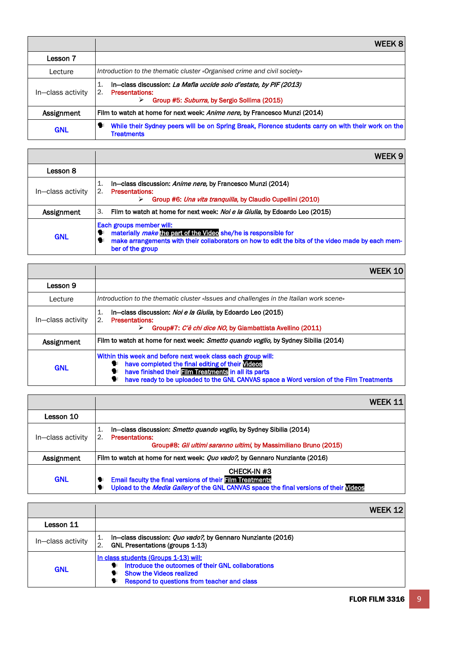|                   | WEEK 8                                                                                                                                                     |
|-------------------|------------------------------------------------------------------------------------------------------------------------------------------------------------|
| Lesson 7          |                                                                                                                                                            |
| Lecture           | Introduction to the thematic cluster «Organised crime and civil society»                                                                                   |
| In-class activity | In-class discussion: La Mafia uccide solo d'estate, by PIF (2013)<br>1.<br>2.<br><b>Presentations:</b><br>Group #5: Suburra, by Sergio Sollima (2015)<br>➤ |
| Assignment        | Film to watch at home for next week: Anime nere, by Francesco Munzi (2014)                                                                                 |
| <b>GNL</b>        | While their Sydney peers will be on Spring Break, Florence students carry on with their work on the<br>❤<br><b>Treatments</b>                              |

|                   | WFFK 9                                                                                                                                                                                                                         |
|-------------------|--------------------------------------------------------------------------------------------------------------------------------------------------------------------------------------------------------------------------------|
| Lesson 8          |                                                                                                                                                                                                                                |
| In-class activity | In-class discussion: Anime nere, by Francesco Munzi (2014)<br>1.<br><b>Presentations:</b><br>$\overline{2}$ .<br>Group #6: Una vita tranguilla, by Claudio Cupellini (2010)<br>⋗                                               |
| Assignment        | Film to watch at home for next week: <i>Noi e la Giulia</i> , by Edoardo Leo (2015)<br>З.                                                                                                                                      |
| <b>GNL</b>        | Each groups member will:<br>materially make the part of the Video she/he is responsible for<br>❤<br>make arrangements with their collaborators on how to edit the bits of the video made by each mem-<br>❤<br>ber of the group |

 $\mathbf{r}$ 

|                   | WEEK 10                                                                                                                                                                                                                                                                                   |
|-------------------|-------------------------------------------------------------------------------------------------------------------------------------------------------------------------------------------------------------------------------------------------------------------------------------------|
| Lesson 9          |                                                                                                                                                                                                                                                                                           |
| Lecture           | Introduction to the thematic cluster «Issues and challenges in the Italian work scene»                                                                                                                                                                                                    |
| In-class activity | In-class discussion: Noi e la Giulia, by Edoardo Leo (2015)<br>1.<br>$\mathcal{D}_{\cdot}$<br><b>Presentations:</b><br>Group#7: C'è chi dice NO, by Giambattista Avellino (2011)<br>⋗                                                                                                     |
| Assignment        | Film to watch at home for next week: Smetto quando voglio, by Sydney Sibilia (2014)                                                                                                                                                                                                       |
| <b>GNL</b>        | Within this week and before next week class each group will:<br>have completed the final editing of their Videos<br>❤<br>have finished their <b>Film Treatments in all its parts</b><br>❤<br>have ready to be uploaded to the GNL CANVAS space a Word version of the Film Treatments<br>❤ |

|                   | WFFK 11                                                                                                                                                                             |
|-------------------|-------------------------------------------------------------------------------------------------------------------------------------------------------------------------------------|
| Lesson 10         |                                                                                                                                                                                     |
| In-class activity | In—class discussion: <i>Smetto quando voglio</i> , by Sydney Sibilia (2014)<br>1.<br><b>Presentations:</b><br>Group#8: Gli ultimi saranno ultimi, by Massimiliano Bruno (2015)      |
| Assignment        | Film to watch at home for next week: <i>Quo vado?</i> , by Gennaro Nunziante (2016)                                                                                                 |
| <b>GNL</b>        | CHECK-IN #3<br><b>Email faculty the final versions of their Film Treatments</b><br>❤<br>Upload to the Media Gallery of the GNL CANVAS space the final versions of their Videos<br>❤ |

|                   | WFFK 12                                                                                                                                                                                    |
|-------------------|--------------------------------------------------------------------------------------------------------------------------------------------------------------------------------------------|
| Lesson 11         |                                                                                                                                                                                            |
| In-class activity | In-class discussion: <i>Quo vado?</i> , by Gennaro Nunziante (2016)<br>1.<br>$\overline{2}$ .<br><b>GNL Presentations (groups 1-13)</b>                                                    |
| <b>GNL</b>        | In class students (Groups 1-13) will:<br>Introduce the outcomes of their GNL collaborations<br>$\bullet$<br><b>Show the Videos realized</b><br>Respond to questions from teacher and class |